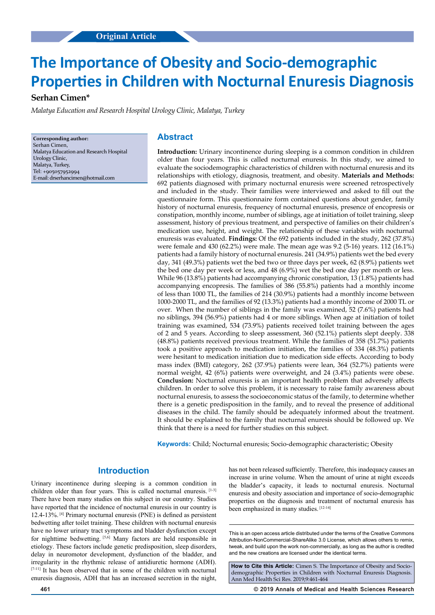# **The Importance of Obesity and Socio-demographic Properties in Children with Nocturnal Enuresis Diagnosis**

## **Serhan Cimen\***

*Malatya Education and Research Hospital Urology Clinic, Malatya, Turkey*

**Corresponding author:** Serhan Cimen, Malatya Education and Research Hospital Urology Clinic, Malatya, Turkey, Tel: +905057952994 E-mail: drserhancimen@hotmail.com

#### **Abstract**

**Introduction:** Urinary incontinence during sleeping is a common condition in children older than four years. This is called nocturnal enuresis. In this study, we aimed to evaluate the sociodemographic characteristics of children with nocturnal enuresis and its relationships with etiology, diagnosis, treatment, and obesity. **Materials and Methods:** 692 patients diagnosed with primary nocturnal enuresis were screened retrospectively and included in the study. Their families were interviewed and asked to fill out the questionnaire form. This questionnaire form contained questions about gender, family history of nocturnal enuresis, frequency of nocturnal enuresis, presence of encopresis or constipation, monthly income, number of siblings, age at initiation of toilet training, sleep assessment, history of previous treatment, and perspective of families on their children's medication use, height, and weight. The relationship of these variables with nocturnal enuresis was evaluated. **Findings:** Of the 692 patients included in the study, 262 (37.8%) were female and 430 (62.2%) were male. The mean age was 9.2 (5-16) years. 112 (16.1%) patients had a family history of nocturnal enuresis. 241 (34.9%) patients wet the bed every day, 341 (49.3%) patients wet the bed two or three days per week, 62 (8.9%) patients wet the bed one day per week or less, and 48 (6.9%) wet the bed one day per month or less. While 96 (13.8%) patients had accompanying chronic constipation, 13 (1.8%) patients had accompanying encopresis. The families of 386 (55.8%) patients had a monthly income of less than 1000 TL, the families of 214 (30.9%) patients had a monthly income between 1000-2000 TL, and the families of 92 (13.3%) patients had a monthly income of 2000 TL or over. When the number of siblings in the family was examined, 52 (7.6%) patients had no siblings, 394 (56.9%) patients had 4 or more siblings. When age at initiation of toilet training was examined, 534 (73.9%) patients received toilet training between the ages of 2 and 5 years. According to sleep assessment, 360 (52.1%) patients slept deeply. 338 (48.8%) patients received previous treatment. While the families of 358 (51.7%) patients took a positive approach to medication initiation, the families of 334 (48.3%) patients were hesitant to medication initiation due to medication side effects. According to body mass index (BMI) category, 262 (37.9%) patients were lean, 364 (52.7%) patients were normal weight, 42 (6%) patients were overweight, and 24 (3.4%) patients were obese. **Conclusion:** Nocturnal enuresis is an important health problem that adversely affects children. In order to solve this problem, it is necessary to raise family awareness about nocturnal enuresis, to assess the socioeconomic status of the family, to determine whether there is a genetic predisposition in the family, and to reveal the presence of additional diseases in the child. The family should be adequately informed about the treatment. It should be explained to the family that nocturnal enuresis should be followed up. We think that there is a need for further studies on this subject.

**Keywords:** Child; Nocturnal enuresis; Socio-demographic characteristic; Obesity

#### **Introduction**

Urinary incontinence during sleeping is a common condition in children older than four years. This is called nocturnal enuresis. [1-3] There have been many studies on this subject in our country. Studies have reported that the incidence of nocturnal enuresis in our country is 12.4-13%. [4] Primary nocturnal enuresis (PNE) is defined as persistent bedwetting after toilet training. These children with nocturnal enuresis have no lower urinary tract symptoms and bladder dysfunction except for nighttime bedwetting. [5,6] Many factors are held responsible in etiology. These factors include genetic predisposition, sleep disorders, delay in neuromotor development, dysfunction of the bladder, and irregularity in the rhythmic release of antidiuretic hormone (ADH). [7-11] It has been observed that in some of the children with nocturnal enuresis diagnosis, ADH that has an increased secretion in the night,

has not been released sufficiently. Therefore, this inadequacy causes an increase in urine volume. When the amount of urine at night exceeds the bladder's capacity, it leads to nocturnal enuresis. Nocturnal enuresis and obesity association and importance of socio-demographic properties on the diagnosis and treatment of nocturnal enuresis has been emphasized in many studies. [12-14]

This is an open access article distributed under the terms of the Creative Commons Attribution‑NonCommercial‑ShareAlike 3.0 License, which allows others to remix, tweak, and build upon the work non‑commercially, as long as the author is credited and the new creations are licensed under the identical terms.

**How to Cite this Article:** Cimen S. The Importance of Obesity and Sociodemographic Properties in Children with Nocturnal Enuresis Diagnosis. Ann Med Health Sci Res. 2019;9:461-464

**461 © 2019 Annals of Medical and Health Sciences Research**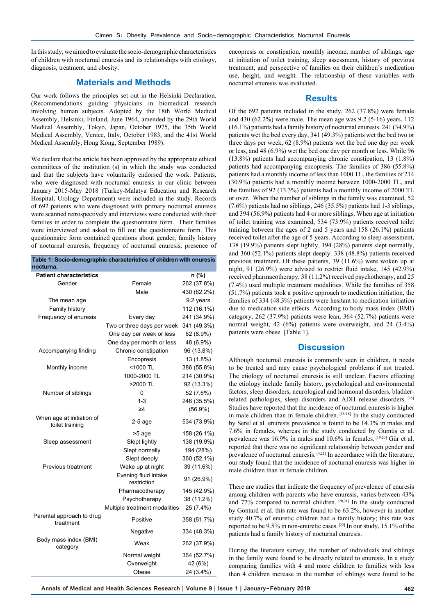In this study, we aimed to evaluate the socio-demographic characteristics of children with nocturnal enuresis and its relationships with etiology, diagnosis, treatment, and obesity.

### **Materials and Methods**

Our work follows the principles set out in the Helsinki Declaration. (Recommendations guiding physicians in biomedical research involving human subjects. Adopted by the 18th World Medical Assembly, Helsinki, Finland, June 1964, amended by the 29th World Medical Assembly, Tokyo, Japan, October 1975, the 35th World Medical Assembly, Venice, Italy, October 1983, and the 41st World Medical Assembly, Hong Kong, September 1989).

We declare that the article has been approved by the appropriate ethical committees of the institution (s) in which the study was conducted and that the subjects have voluntarily endorsed the work. Patients, who were diagnosed with nocturnal enuresis in our clinic between January 2015-May 2018 (Turkey-Malatya Education and Research Hospital, Urology Department) were included in the study. Records of 692 patients who were diagnosed with primary nocturnal enuresis were scanned retrospectively and interviews were conducted with their families in order to complete the questionnaire form. Their families were interviewed and asked to fill out the questionnaire form. This questionnaire form contained questions about gender, family history of nocturnal enuresis, frequency of nocturnal enuresis, presence of

| Table 1: Socio-demographic characteristics of children with enuresis |  |
|----------------------------------------------------------------------|--|
| nocturna.                                                            |  |

| <b>Patient characteristics</b>               |                                     | n (%)       |
|----------------------------------------------|-------------------------------------|-------------|
| Gender                                       | Female                              | 262 (37.8%) |
|                                              | Male                                | 430 (62.2%) |
| The mean age                                 |                                     | 9.2 years   |
| Family history                               |                                     | 112 (16.1%) |
| Frequency of enuresis                        | Every day                           | 241 (34.9%) |
|                                              | Two or three days per week          | 341 (49.3%) |
|                                              | One day per week or less            | 62 (8.9%)   |
|                                              | One day per month or less           | 48 (6.9%)   |
| Accompanying finding                         | Chronic constipation                | 96 (13.8%)  |
|                                              | Encopresis                          | 13 (1.8%)   |
| Monthly income                               | $<$ 1000 TL                         | 386 (55.8%) |
|                                              | 1000-2000 TL                        | 214 (30.9%) |
|                                              | >2000 TL                            | 92 (13.3%)  |
| Number of siblings                           | 0                                   | 52 (7.6%)   |
|                                              | $1 - 3$                             | 246 (35.5%) |
|                                              | $\geq 4$                            | $(56.9\%)$  |
| When age at initiation of<br>toilet training | $2-5$ age                           | 534 (73.9%) |
|                                              | >5 age                              | 158 (26.1%) |
| Sleep assessment                             | Slept lightly                       | 138 (19.9%) |
|                                              | Slept normally                      | 194 (28%)   |
|                                              | Slept deeply                        | 360 (52.1%) |
| Previous treatment                           | Wake up at night                    | 39 (11.6%)  |
|                                              | Evening fluid intake<br>restriction | 91 (26.9%)  |
|                                              | Pharmacotherapy                     | 145 (42.9%) |
|                                              | Psychotherapy                       | 38 (11.2%)  |
|                                              | Multiple treatment modalities       | 25 (7.4%)   |
| Parental approach to drug<br>treatment       | Positive                            | 358 (51.7%) |
|                                              | Negative                            | 334 (48.3%) |
| Body mass index (BMI)<br>category            | Weak                                | 262 (37.9%) |
|                                              | Normal weight                       | 364 (52.7%) |
|                                              | Overweight                          | 42 (6%)     |
|                                              | Obese                               | 24 (3.4%)   |

encopresis or constipation, monthly income, number of siblings, age at initiation of toilet training, sleep assessment, history of previous treatment, and perspective of families on their children's medication use, height, and weight. The relationship of these variables with nocturnal enuresis was evaluated.

#### **Results**

Of the 692 patients included in the study, 262 (37.8%) were female and 430 (62.2%) were male. The mean age was 9.2 (5-16) years. 112 (16.1%) patients had a family history of nocturnal enuresis. 241 (34.9%) patients wet the bed every day, 341 (49.3%) patients wet the bed two or three days per week, 62 (8.9%) patients wet the bed one day per week or less, and 48 (6.9%) wet the bed one day per month or less. While 96 (13.8%) patients had accompanying chronic constipation, 13 (1.8%) patients had accompanying encopresis. The families of 386 (55.8%) patients had a monthly income of less than 1000 TL, the families of 214 (30.9%) patients had a monthly income between 1000-2000 TL, and the families of 92 (13.3%) patients had a monthly income of 2000 TL or over. When the number of siblings in the family was examined, 52 (7.6%) patients had no siblings, 246 (35.5%) patients had 1-3 siblings, and 394 (56.9%) patients had 4 or more siblings. When age at initiation of toilet training was examined, 534 (73.9%) patients received toilet training between the ages of 2 and 5 years and 158 (26.1%) patients received toilet after the age of 5 years. According to sleep assessment, 138 (19.9%) patients slept lightly, 194 (28%) patients slept normally, and 360 (52.1%) patients slept deeply. 338 (48.8%) patients received previous treatment. Of these patients, 39 (11.6%) were woken up at night, 91 (26.9%) were advised to restrict fluid intake, 145 (42.9%) received pharmacotherapy, 38 (11.2%) received psychotherapy, and 25 (7.4%) used multiple treatment modalities. While the families of 358 (51.7%) patients took a positive approach to medication initiation, the families of 334 (48.3%) patients were hesitant to medication initiation due to medication side effects. According to body mass index (BMI) category, 262 (37.9%) patients were lean, 364 (52.7%) patients were normal weight, 42 (6%) patients were overweight, and 24 (3.4%) patients were obese [Table 1].

### **Discussion**

Although nocturnal enuresis is commonly seen in children, it needs to be treated and may cause psychological problems if not treated. The etiology of nocturnal enuresis is still unclear. Factors effecting the etiology include family history, psychological and environmental factors, sleep disorders, neurological and hormonal disorders, bladderrelated pathologies, sleep disorders and ADH release disorders. [15] Studies have reported that the incidence of nocturnal enuresis is higher in male children than in female children. [16-18] In the study conducted by Serel et al. enuresis prevalence is found to be 14.3% in males and 7.6% in females, whereas in the study conducted by Gümüş et al. prevalence was 16.9% in males and 10.6% in females. [19,20] Gür et al. reported that there was no significant relationship between gender and prevalence of nocturnal enuresis.  $[4,21]$  In accordance with the literature, our study found that the incidence of nocturnal enuresis was higher in male children than in female children.

There are studies that indicate the frequency of prevalence of enuresis among children with parents who have enuresis, varies between 43% and 77% compared to normal children. [20,21] In the study conducted by Gontard et al. this rate was found to be 63.2%, however in another study 40.7% of enuretic children had a family history; this rate was reported to be 9.5% in non-enuretic cases. [22] In our study, 15.1% of the patients had a family history of nocturnal enuresis.

During the literature survey, the number of individuals and siblings in the family were found to be directly related to enuresis. In a study comparing families with 4 and more children to families with less than 4 children increase in the number of siblings were found to be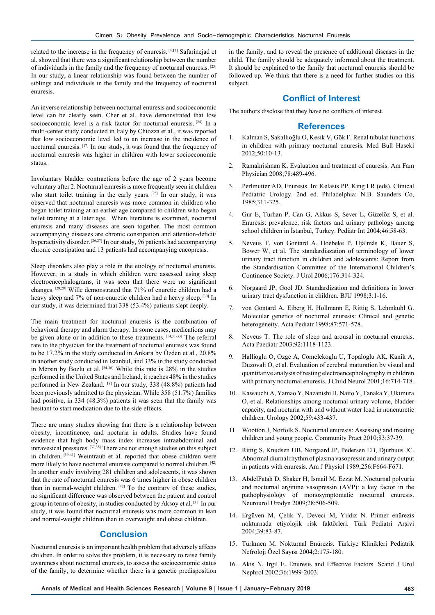related to the increase in the frequency of enuresis. [4,17] Safarinejad et al. showed that there was a significant relationship between the number of individuals in the family and the frequency of nocturnal enuresis. [23] In our study, a linear relationship was found between the number of siblings and individuals in the family and the frequency of nocturnal enuresis.

An inverse relationship between nocturnal enuresis and socioeconomic level can be clearly seen. Cher et al. have demonstrated that low socioeconomic level is a risk factor for nocturnal enuresis.<sup>[24]</sup> In a multi-center study conducted in Italy by Chiozza et al., it was reported that low socioeconomic level led to an increase in the incidence of nocturnal enuresis. [17] In our study, it was found that the frequency of nocturnal enuresis was higher in children with lower socioeconomic status.

Involuntary bladder contractions before the age of 2 years become voluntary after 2. Nocturnal enuresis is more frequently seen in children who start toilet training in the early years. [25] In our study, it was observed that nocturnal enuresis was more common in children who began toilet training at an earlier age compared to children who began toilet training at a later age. When literature is examined, nocturnal enuresis and many diseases are seen together. The most common accompanying diseases are chronic constipation and attention-deficit/ hyperactivity disorder. [26,27] In our study, 96 patients had accompanying chronic constipation and 13 patients had accompanying encopresis.

Sleep disorders also play a role in the etiology of nocturnal enuresis. However, in a study in which children were assessed using sleep electroencephalograms, it was seen that there were no significant changes. [28,29] Wille demonstrated that 71% of enuretic children had a heavy sleep and 7% of non-enuretic children had a heavy sleep. [30] In our study, it was determined that 338 (53.4%) patients slept deeply.

The main treatment for nocturnal enuresis is the combination of behavioral therapy and alarm therapy. In some cases, medications may be given alone or in addition to these treatments. [14,31-33] The referral rate to the physician for the treatment of nocturnal enuresis was found to be 17.2% in the study conducted in Ankara by Özden et al., 20.8% in another study conducted in Istanbul, and 33% in the study conducted in Mersin by Bozlu et al.  $[34-36]$  While this rate is 28% in the studies performed in the United States and Ireland, it reaches 48% in the studies performed in New Zealand. [18] In our study, 338 (48.8%) patients had been previously admitted to the physician. While 358 (51.7%) families had positive, in 334 (48.3%) patients it was seen that the family was hesitant to start medication due to the side effects.

There are many studies showing that there is a relationship between obesity, incontinence, and nocturia in adults. Studies have found evidence that high body mass index increases intraabdominal and intravesical pressures. [37,38] There are not enough studies on this subject in children. [39-41] Weintraub et al. reported that obese children were more likely to have nocturnal enuresis compared to normal children. [42] In another study involving 281 children and adolescents, it was shown that the rate of nocturnal enuresis was 6 times higher in obese children than in normal-weight children.  $[42]$  To the contrary of these studies, no significant difference was observed between the patient and control group in terms of obesity, in studies conducted by Aksoy et al. [31] In our study, it was found that nocturnal enuresis was more common in lean and normal-weight children than in overweight and obese children.

#### **Conclusion**

Nocturnal enuresis is an important health problem that adversely affects children. In order to solve this problem, it is necessary to raise family awareness about nocturnal enuresis, to assess the socioeconomic status of the family, to determine whether there is a genetic predisposition in the family, and to reveal the presence of additional diseases in the child. The family should be adequately informed about the treatment. It should be explained to the family that nocturnal enuresis should be followed up. We think that there is a need for further studies on this subject.

### **Conflict of Interest**

The authors disclose that they have no conflicts of interest.

#### **References**

- 1. Kalman S, Sakallıoğlu O, Kesik V, Gök F. Renal tubular functions in children with primary nocturnal enuresis. Med Bull Haseki 2012;50:10-13.
- 2. Ramakrishnan K. Evaluation and treatment of enuresis. Am Fam Physician 2008;78:489-496.
- 3. Perlmutter AD, Enuresis. In: Kelasis PP, King LR (eds). Clinical Pediatric Urology. 2nd ed. Philadelphia: N.B. Saunders Co, 1985;311-325.
- 4. Gur E, Turhan P, Can G, Akkus S, Sever L, Güzelöz S, et al. Enuresis: prevalence, risk factors and urinary pathology among school children in İstanbul, Turkey. Pediatr Int 2004;46:58-63.
- 5. Neveus T, von Gontard A, Hoebeke P, Hjälmås K, Bauer S, Bower W, et al. The standardiazation of terminology of lower urinary tract function in children and adolescents: Report from the Standardisation Committee of the International Children's Continence Society. J Urol 2006;176:314-324.
- 6. Norgaard JP, Gool JD. Standardization and definitions in lower urinary tract dysfunction in children. BJU 1998;3:1-16.
- 7. von Gontard A, Eiberg H, Hollmann E, Rittig S, Lehmkuhl G. Molecular genetics of nocturnal enuresis: Clinical and genetic heterogeneity. Acta Pediatr 1998;87:571-578.
- 8. Neveus T. The role of sleep and arousal in nocturnal enuresis. Acta Paediatr 2003;92:1118-1123.
- 9. Hallioglu O, Ozge A, Comelekoglu U, Topaloglu AK, Kanik A, Duzovali O, et al. Evaluation of cerebral maturation by visual and quantitative analysis of resting electroencepholography in children with primary nocturnal enuresis. J Child Neurol 2001;16:714-718.
- 10. Kawauchi A, Yamao Y, Nazanishi H, Naito Y, Tanaka Y, Ukimura O, et al. Relationships among nocturnal urinary volume, bladder capacity, and nocturia with and without water load in nonenuretic children. Urology 2002;59:433-437.
- 11. Wootton J, Norfolk S. Nocturnal enuresis: Assessing and treating children and young people. Community Pract 2010;83:37-39.
- 12. Rittig S, Knudsen UB, Norgaard JP, Pedersen EB, Djurhuus JC. Abnormal diurnal rhythm of plasma vasopressin and urinary output in patients with enuresis. Am J Physiol 1989;256:F664-F671.
- 13. AbdelFatah D, Shaker H, Ismail M, Ezzat M. Nocturnal polyuria and nocturnal arginine vasopressin (AVP): a key factor in the pathophysiology of monosymptomatic nocturnal enuresis. Neurourol Urodyn 2009;28:506-509.
- 14. Ergüven M, Çelik Y, Deveci M, Yıldız N. Primer enürezis nokturnada etiyolojik risk faktörleri. Türk Pediatri Arşivi 2004;39:83-87.
- 15. Türkmen M. Nokturnal Enürezis. Türkiye Klinikleri Pediatrik Nefroloji Özel Sayısı 2004;2:175-180.
- 16. Akis N, Irgil E. Enuresis and Effective Factors. Scand J Urol Nephrol 2002;36:1999-2003.